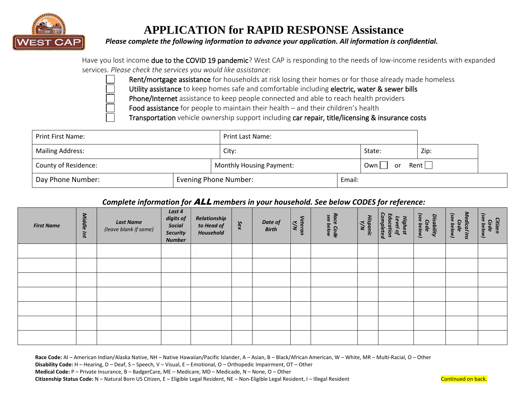

# **APPLICATION for RAPID RESPONSE Assistance**

*Please complete the following information to advance your application. All information is confidential.*

| Have you lost income due to the COVID 19 pandemic? West CAP is responding to the needs of low-income residents with expanded |  |
|------------------------------------------------------------------------------------------------------------------------------|--|
| services. Please check the services you would like assistance:                                                               |  |

Rent/mortgage assistance for households at risk losing their homes or for those already made homeless

Utility assistance to keep homes safe and comfortable including electric, water & sewer bills

Phone/Internet assistance to keep people connected and able to reach health providers

Food assistance for people to maintain their health – and their children's health

Transportation vehicle ownership support including car repair, title/licensing & insurance costs

| Print First Name:           | <b>Print Last Name:</b>         |                         |      |  |  |  |
|-----------------------------|---------------------------------|-------------------------|------|--|--|--|
| <b>Mailing Address:</b>     | City:                           | State:                  | Zip: |  |  |  |
| <b>County of Residence:</b> | <b>Monthly Housing Payment:</b> | Rent    <br>Own  <br>or |      |  |  |  |
| Day Phone Number:           |                                 | Evening Phone Number:   |      |  |  |  |

### *Complete information for* ALL *members in your household. See below CODES for reference:*

| <b>First Name</b> | Middle Int | <b>Last Name</b><br>(leave blank if same) | Last 4<br>digits of<br>Social<br><b>Security</b><br><b>Number</b> | Relationship<br>to Head of<br>Household | Sex | Date of<br><b>Birth</b> | Veteran<br>Y/N | Race Code<br>see below | Ξ<br>≳<br>anic | Completed<br>Edu<br>Level<br><b>Highest</b><br>ation<br>ą | Code<br>(see below)<br>ā<br>isability | Medical Ins<br>(see below)<br>Code | Citizen<br>e below)<br>Code |
|-------------------|------------|-------------------------------------------|-------------------------------------------------------------------|-----------------------------------------|-----|-------------------------|----------------|------------------------|----------------|-----------------------------------------------------------|---------------------------------------|------------------------------------|-----------------------------|
|                   |            |                                           |                                                                   |                                         |     |                         |                |                        |                |                                                           |                                       |                                    |                             |
|                   |            |                                           |                                                                   |                                         |     |                         |                |                        |                |                                                           |                                       |                                    |                             |
|                   |            |                                           |                                                                   |                                         |     |                         |                |                        |                |                                                           |                                       |                                    |                             |
|                   |            |                                           |                                                                   |                                         |     |                         |                |                        |                |                                                           |                                       |                                    |                             |
|                   |            |                                           |                                                                   |                                         |     |                         |                |                        |                |                                                           |                                       |                                    |                             |
|                   |            |                                           |                                                                   |                                         |     |                         |                |                        |                |                                                           |                                       |                                    |                             |
|                   |            |                                           |                                                                   |                                         |     |                         |                |                        |                |                                                           |                                       |                                    |                             |

**Race Code:** AI – American Indian/Alaska Native, NH – Native Hawaiian/Pacific Islander, A – Asian, B – Black/African American, W – White, MR – Multi-Racial, O – Other **Disability Code:** H – Hearing, D – Deaf, S – Speech, V – Visual, E – Emotional, O – Orthopedic Impairment, OT – Other **Medical Code:** P – Private Insurance, B – BadgerCare, ME – Medicare, MD – Medicade, N – None, O – Other **Citizenship Status Code:** N – Natural Born US Citizen, E – Eligible Legal Resident, NE – Non-Eligible Legal Resident, I – Illegal Resident